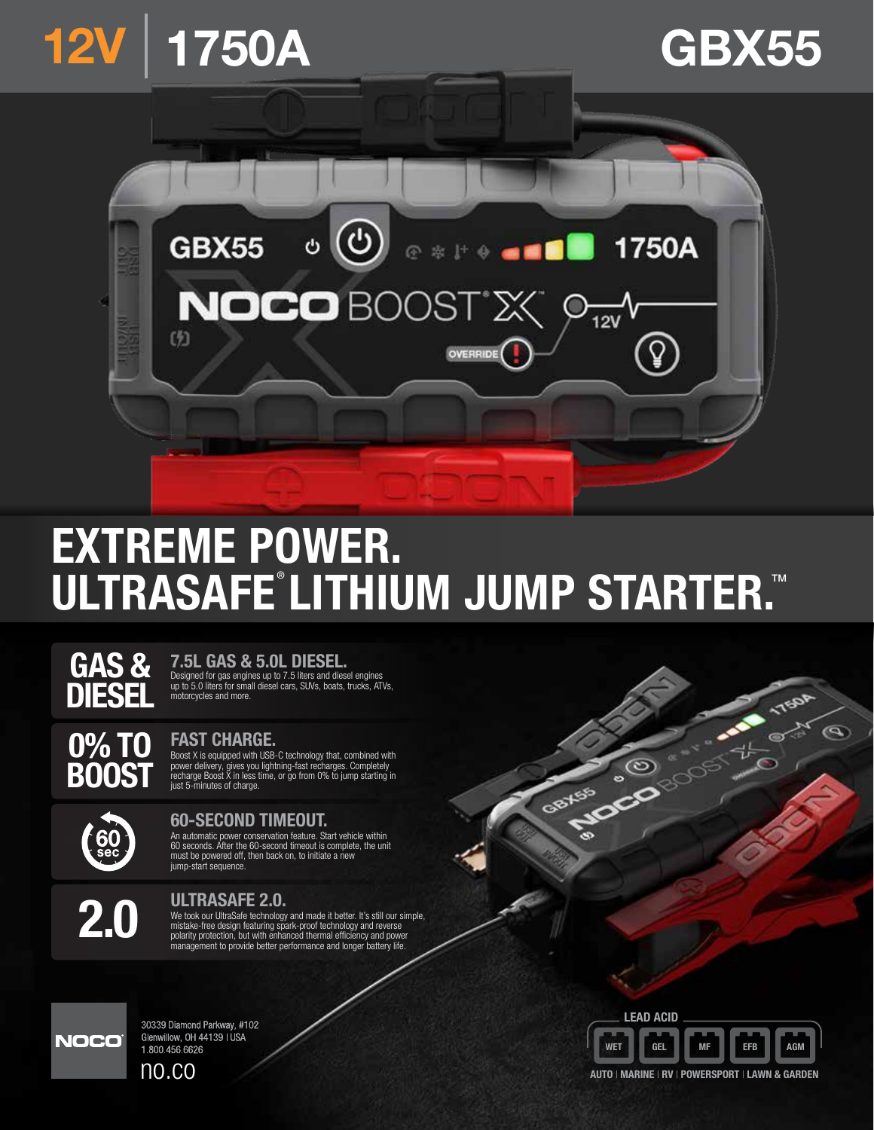

# EXTREME POWER. ULTRASAFE®LITHIUM JUMP STARTER.<sup>™</sup>



# 7.5L GAS & 5.0L DIESEL.

Designed for gas engines up to 7.5 liters and diesel engines up to 5.0 liters for small diesel cars, SUVs, boats, trucks, ATVs, motorcycles and more.

0% TO BOOST

## FAST CHARGE.

Boost X is equipped with USB-C technology that, combined with power delivery, gives you lightning-fast recharges. Completely recharge Boost X in less time, or go from 0% to jump starting in just 5-minutes of charge.



## 60-SECOND TIMEOUT.

An automatic power conservation feature. Start vehicle within 60 seconds. After the 60-second timeout is complete, the unit must be powered off, then back on, to initiate a new jump-start sequence.



#### ULTRASAFE 2.0.

We took our UltraSafe technology and made it better. It's still our simple,<br>mistake-free design featuring spark-proof technology and reverse<br>polarity protection, but with enhanced thermal efficiency and power<br>management to



30339 Diamond Parkway, #102 Glenwillow, OH 44139 | USA 1.800.456.6626 no.co



**PROTECTION** 

**TISOR** 

W

Q

AUTO | MARINE | RV | POWERSPORT | LAWN & GARDEN